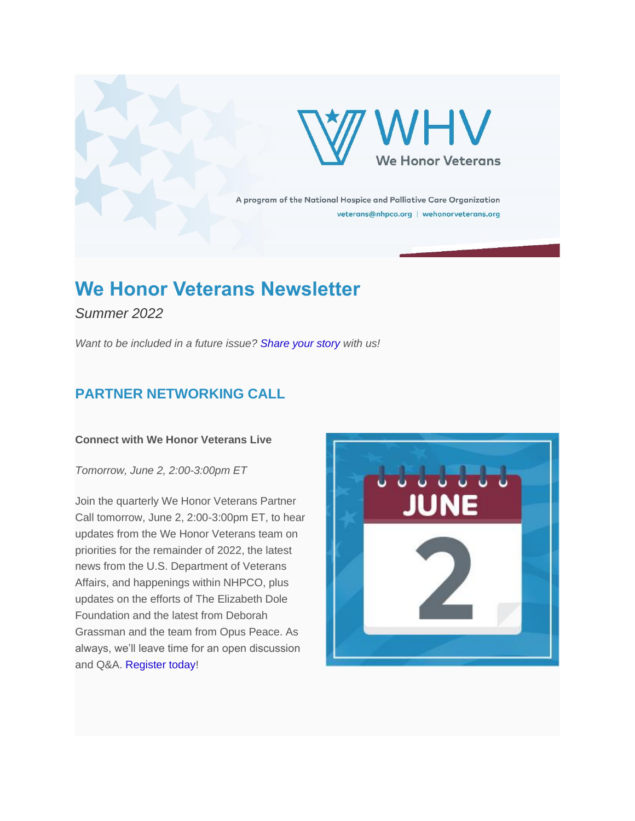

A program of the National Hospice and Palliative Care Organization veterans@nhpco.org | wehonorveterans.org

# **We Honor Veterans Newsletter**

*Summer 2022*

*Want to be included in a future issue? [Share your story](https://nam12.safelinks.protection.outlook.com/?url=https%3A%2F%2Furldefense.com%2Fv3%2F__http%3A%2F%2Fnhpco-netforum.informz.net%2Fz%2FcjUucD9taT04NzMzOTA3JnA9MSZ1PTg5MDYwNzk5MyZsaT03NjU1NDQzOQ%2Findex.html__%3B!!Cki1qOQyyykDL2Q!LxdrBdZtLOPz33RmKRZkwydYD83WKkwqaS3XduYRYJCeEEOmj8QzBmFBDfCJ4525lwY007GbaNhCrmH4rGt4SJ5w%24&data=05%7C01%7CJulie.Stafford%40emblemhospice.com%7C55e70e5d548b4f18d03508da43fbef48%7C90c1e80c18bc48e08d4fedc68d091ce7%7C0%7C0%7C637897047686426023%7CUnknown%7CTWFpbGZsb3d8eyJWIjoiMC4wLjAwMDAiLCJQIjoiV2luMzIiLCJBTiI6Ik1haWwiLCJXVCI6Mn0%3D%7C3000%7C%7C%7C&sdata=Fok6M63leKgaFeNwzJ8Aq%2B%2FZudU1zu4vKeX1mvnpqmU%3D&reserved=0) with us!*

# **PARTNER NETWORKING CALL**

#### **Connect with We Honor Veterans Live**

*Tomorrow, June 2, 2:00-3:00pm ET*

Join the quarterly We Honor Veterans Partner Call tomorrow, June 2, 2:00-3:00pm ET, to hear updates from the We Honor Veterans team on priorities for the remainder of 2022, the latest news from the U.S. Department of Veterans Affairs, and happenings within NHPCO, plus updates on the efforts of The Elizabeth Dole Foundation and the latest from Deborah Grassman and the team from Opus Peace. As always, we'll leave time for an open discussion and Q&A. [Register today!](https://nam12.safelinks.protection.outlook.com/?url=https%3A%2F%2Furldefense.com%2Fv3%2F__http%3A%2F%2Fnhpco-netforum.informz.net%2Fz%2FcjUucD9taT04NzMzOTA3JnA9MSZ1PTg5MDYwNzk5MyZsaT03NjU1NDQ0MQ%2Findex.html__%3B!!Cki1qOQyyykDL2Q!LxdrBdZtLOPz33RmKRZkwydYD83WKkwqaS3XduYRYJCeEEOmj8QzBmFBDfCJ4525lwY007GbaNhCrmH4rH8T1O_e%24&data=05%7C01%7CJulie.Stafford%40emblemhospice.com%7C55e70e5d548b4f18d03508da43fbef48%7C90c1e80c18bc48e08d4fedc68d091ce7%7C0%7C0%7C637897047686426023%7CUnknown%7CTWFpbGZsb3d8eyJWIjoiMC4wLjAwMDAiLCJQIjoiV2luMzIiLCJBTiI6Ik1haWwiLCJXVCI6Mn0%3D%7C3000%7C%7C%7C&sdata=FZW%2FlFPurMn%2FwLAUyCKgfezRHZ%2B78PLi%2BOX0C%2B4ajvE%3D&reserved=0)

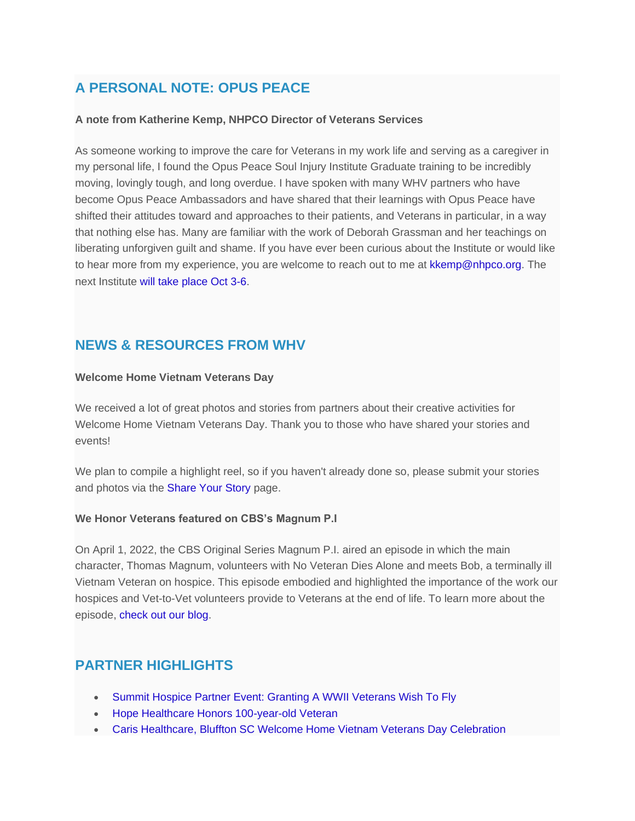# **A PERSONAL NOTE: OPUS PEACE**

#### **A note from Katherine Kemp, NHPCO Director of Veterans Services**

As someone working to improve the care for Veterans in my work life and serving as a caregiver in my personal life, I found the Opus Peace Soul Injury Institute Graduate training to be incredibly moving, lovingly tough, and long overdue. I have spoken with many WHV partners who have become Opus Peace Ambassadors and have shared that their learnings with Opus Peace have shifted their attitudes toward and approaches to their patients, and Veterans in particular, in a way that nothing else has. Many are familiar with the work of Deborah Grassman and her teachings on liberating unforgiven guilt and shame. If you have ever been curious about the Institute or would like to hear more from my experience, you are welcome to reach out to me at [kkemp@nhpco.org.](mailto:kkemp@nhpco.org?subject=Opus%20Peace) The next Institute [will take place Oct 3-6.](https://nam12.safelinks.protection.outlook.com/?url=https%3A%2F%2Furldefense.com%2Fv3%2F__http%3A%2F%2Fnhpco-netforum.informz.net%2Fz%2FcjUucD9taT04NzMzOTA3JnA9MSZ1PTg5MDYwNzk5MyZsaT03NjU1NDQ0Mg%2Findex.html__%3B!!Cki1qOQyyykDL2Q!LxdrBdZtLOPz33RmKRZkwydYD83WKkwqaS3XduYRYJCeEEOmj8QzBmFBDfCJ4525lwY007GbaNhCrmH4rHTx-Yur%24&data=05%7C01%7CJulie.Stafford%40emblemhospice.com%7C55e70e5d548b4f18d03508da43fbef48%7C90c1e80c18bc48e08d4fedc68d091ce7%7C0%7C0%7C637897047686582226%7CUnknown%7CTWFpbGZsb3d8eyJWIjoiMC4wLjAwMDAiLCJQIjoiV2luMzIiLCJBTiI6Ik1haWwiLCJXVCI6Mn0%3D%7C3000%7C%7C%7C&sdata=i%2BtVsCTPV2nAShw9Na%2BsPzPKmYoXYeKLE%2BhbFaL0wxo%3D&reserved=0)

### **NEWS & RESOURCES FROM WHV**

#### **Welcome Home Vietnam Veterans Day**

We received a lot of great photos and stories from partners about their creative activities for Welcome Home Vietnam Veterans Day. Thank you to those who have shared your stories and events!

We plan to compile a highlight reel, so if you haven't already done so, please submit your stories and photos via the [Share Your Story](https://nam12.safelinks.protection.outlook.com/?url=https%3A%2F%2Furldefense.com%2Fv3%2F__http%3A%2F%2Fnhpco-netforum.informz.net%2Fz%2FcjUucD9taT04NzMzOTA3JnA9MSZ1PTg5MDYwNzk5MyZsaT03NjU1NDQzOQ%2Findex.html__%3B!!Cki1qOQyyykDL2Q!LxdrBdZtLOPz33RmKRZkwydYD83WKkwqaS3XduYRYJCeEEOmj8QzBmFBDfCJ4525lwY007GbaNhCrmH4rGt4SJ5w%24&data=05%7C01%7CJulie.Stafford%40emblemhospice.com%7C55e70e5d548b4f18d03508da43fbef48%7C90c1e80c18bc48e08d4fedc68d091ce7%7C0%7C0%7C637897047686582226%7CUnknown%7CTWFpbGZsb3d8eyJWIjoiMC4wLjAwMDAiLCJQIjoiV2luMzIiLCJBTiI6Ik1haWwiLCJXVCI6Mn0%3D%7C3000%7C%7C%7C&sdata=fEFFH1zxPFWsuNHbxr8%2B3oid%2B081cdkziT3twThA8ks%3D&reserved=0) page.

#### **We Honor Veterans featured on CBS's Magnum P.I**

On April 1, 2022, the CBS Original Series Magnum P.I. aired an episode in which the main character, Thomas Magnum, volunteers with No Veteran Dies Alone and meets Bob, a terminally ill Vietnam Veteran on hospice. This episode embodied and highlighted the importance of the work our hospices and Vet-to-Vet volunteers provide to Veterans at the end of life. To learn more about the episode, [check out our blog.](https://nam12.safelinks.protection.outlook.com/?url=https%3A%2F%2Furldefense.com%2Fv3%2F__http%3A%2F%2Fnhpco-netforum.informz.net%2Fz%2FcjUucD9taT04NzMzOTA3JnA9MSZ1PTg5MDYwNzk5MyZsaT03NjU1NDQ0Mw%2Findex.html__%3B!!Cki1qOQyyykDL2Q!LxdrBdZtLOPz33RmKRZkwydYD83WKkwqaS3XduYRYJCeEEOmj8QzBmFBDfCJ4525lwY007GbaNhCrmH4rIAxUwSS%24&data=05%7C01%7CJulie.Stafford%40emblemhospice.com%7C55e70e5d548b4f18d03508da43fbef48%7C90c1e80c18bc48e08d4fedc68d091ce7%7C0%7C0%7C637897047686582226%7CUnknown%7CTWFpbGZsb3d8eyJWIjoiMC4wLjAwMDAiLCJQIjoiV2luMzIiLCJBTiI6Ik1haWwiLCJXVCI6Mn0%3D%7C3000%7C%7C%7C&sdata=Vkd4NbQZNovpqsdVvHmKkVkWzDkogx5Hi3MaHHwMA1s%3D&reserved=0)

### **PARTNER HIGHLIGHTS**

- [Summit Hospice Partner Event: Granting A WWII Veterans Wish To Fly](https://nam12.safelinks.protection.outlook.com/?url=https%3A%2F%2Furldefense.com%2Fv3%2F__http%3A%2F%2Fnhpco-netforum.informz.net%2Fz%2FcjUucD9taT04NzMzOTA3JnA9MSZ1PTg5MDYwNzk5MyZsaT03NjU1NDQ0NA%2Findex.html__%3B!!Cki1qOQyyykDL2Q!LxdrBdZtLOPz33RmKRZkwydYD83WKkwqaS3XduYRYJCeEEOmj8QzBmFBDfCJ4525lwY007GbaNhCrmH4rOzRaTri%24&data=05%7C01%7CJulie.Stafford%40emblemhospice.com%7C55e70e5d548b4f18d03508da43fbef48%7C90c1e80c18bc48e08d4fedc68d091ce7%7C0%7C0%7C637897047686582226%7CUnknown%7CTWFpbGZsb3d8eyJWIjoiMC4wLjAwMDAiLCJQIjoiV2luMzIiLCJBTiI6Ik1haWwiLCJXVCI6Mn0%3D%7C3000%7C%7C%7C&sdata=5vaHaTLnxw1BgrSGv8FC9fQbgHlGr37eVqTcmvRrIjo%3D&reserved=0)
- [Hope Healthcare Honors 100-year-old Veteran](https://nam12.safelinks.protection.outlook.com/?url=https%3A%2F%2Furldefense.com%2Fv3%2F__http%3A%2F%2Fnhpco-netforum.informz.net%2Fz%2FcjUucD9taT04NzMzOTA3JnA9MSZ1PTg5MDYwNzk5MyZsaT03NjU1NDQ0NQ%2Findex.html__%3B!!Cki1qOQyyykDL2Q!LxdrBdZtLOPz33RmKRZkwydYD83WKkwqaS3XduYRYJCeEEOmj8QzBmFBDfCJ4525lwY007GbaNhCrmH4rJzlB31E%24&data=05%7C01%7CJulie.Stafford%40emblemhospice.com%7C55e70e5d548b4f18d03508da43fbef48%7C90c1e80c18bc48e08d4fedc68d091ce7%7C0%7C0%7C637897047686582226%7CUnknown%7CTWFpbGZsb3d8eyJWIjoiMC4wLjAwMDAiLCJQIjoiV2luMzIiLCJBTiI6Ik1haWwiLCJXVCI6Mn0%3D%7C3000%7C%7C%7C&sdata=HMGrJEdYuEtwo65Q40Y%2BJSVw%2FWr2P%2Be1mrCG25haBKs%3D&reserved=0)
- [Caris Healthcare, Bluffton SC Welcome Home Vietnam Veterans Day Celebration](https://nam12.safelinks.protection.outlook.com/?url=https%3A%2F%2Furldefense.com%2Fv3%2F__https%3A%2F%2Fwww.wehonorveterans.org%2Fblog%2Fcaris-healthcare-bluffton-sc-welcome-home-vietnam-veterans-day%2F__%3B!!Cki1qOQyyykDL2Q!LxdrBdZtLOPz33RmKRZkwydYD83WKkwqaS3XduYRYJCeEEOmj8QzBmFBDfCJ4525lwY007GbaNhCrmH4rKXucTuA%24&data=05%7C01%7CJulie.Stafford%40emblemhospice.com%7C55e70e5d548b4f18d03508da43fbef48%7C90c1e80c18bc48e08d4fedc68d091ce7%7C0%7C0%7C637897047686582226%7CUnknown%7CTWFpbGZsb3d8eyJWIjoiMC4wLjAwMDAiLCJQIjoiV2luMzIiLCJBTiI6Ik1haWwiLCJXVCI6Mn0%3D%7C3000%7C%7C%7C&sdata=7O1%2FsXmRELIGvRHHOGmo4YvcxHbC4m5O4kAeCNzKwDQ%3D&reserved=0)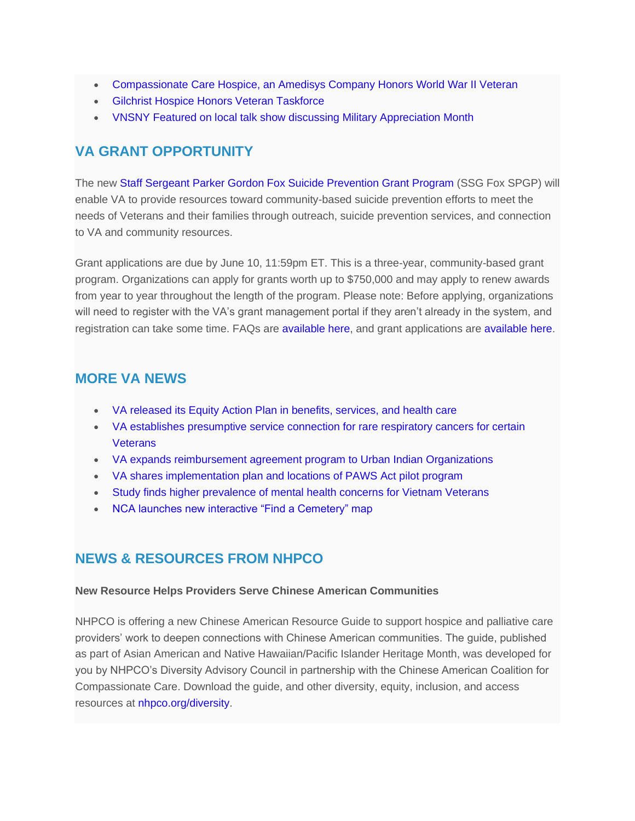- [Compassionate Care Hospice, an Amedisys Company Honors World War II Veteran](https://nam12.safelinks.protection.outlook.com/?url=https%3A%2F%2Furldefense.com%2Fv3%2F__http%3A%2F%2Fnhpco-netforum.informz.net%2Fz%2FcjUucD9taT04NzMzOTA3JnA9MSZ1PTg5MDYwNzk5MyZsaT03NjU1NDQ0Ng%2Findex.html__%3B!!Cki1qOQyyykDL2Q!LxdrBdZtLOPz33RmKRZkwydYD83WKkwqaS3XduYRYJCeEEOmj8QzBmFBDfCJ4525lwY007GbaNhCrmH4rFTwQN8S%24&data=05%7C01%7CJulie.Stafford%40emblemhospice.com%7C55e70e5d548b4f18d03508da43fbef48%7C90c1e80c18bc48e08d4fedc68d091ce7%7C0%7C0%7C637897047686582226%7CUnknown%7CTWFpbGZsb3d8eyJWIjoiMC4wLjAwMDAiLCJQIjoiV2luMzIiLCJBTiI6Ik1haWwiLCJXVCI6Mn0%3D%7C3000%7C%7C%7C&sdata=80X%2F4jxOsxpoLwgPMejjEdhVNSl58osWMohWJTRgtvM%3D&reserved=0)
- [Gilchrist Hospice Honors Veteran Taskforce](https://nam12.safelinks.protection.outlook.com/?url=https%3A%2F%2Furldefense.com%2Fv3%2F__http%3A%2F%2Fnhpco-netforum.informz.net%2Fz%2FcjUucD9taT04NzMzOTA3JnA9MSZ1PTg5MDYwNzk5MyZsaT03NjU1NDQ0Nw%2Findex.html__%3B!!Cki1qOQyyykDL2Q!LxdrBdZtLOPz33RmKRZkwydYD83WKkwqaS3XduYRYJCeEEOmj8QzBmFBDfCJ4525lwY007GbaNhCrmH4rCsVzTUP%24&data=05%7C01%7CJulie.Stafford%40emblemhospice.com%7C55e70e5d548b4f18d03508da43fbef48%7C90c1e80c18bc48e08d4fedc68d091ce7%7C0%7C0%7C637897047686582226%7CUnknown%7CTWFpbGZsb3d8eyJWIjoiMC4wLjAwMDAiLCJQIjoiV2luMzIiLCJBTiI6Ik1haWwiLCJXVCI6Mn0%3D%7C3000%7C%7C%7C&sdata=z7%2FZqTzNjc%2BTbhMZWf7zvKNR3qYsNIwCEcPRAfvQUJo%3D&reserved=0)
- [VNSNY Featured on local talk show discussing Military Appreciation Month](https://nam12.safelinks.protection.outlook.com/?url=https%3A%2F%2Furldefense.com%2Fv3%2F__http%3A%2F%2Fnhpco-netforum.informz.net%2Fz%2FcjUucD9taT04NzMzOTA3JnA9MSZ1PTg5MDYwNzk5MyZsaT03NjU1NDQ0OA%2Findex.html__%3B!!Cki1qOQyyykDL2Q!LxdrBdZtLOPz33RmKRZkwydYD83WKkwqaS3XduYRYJCeEEOmj8QzBmFBDfCJ4525lwY007GbaNhCrmH4rI2KmTZ6%24&data=05%7C01%7CJulie.Stafford%40emblemhospice.com%7C55e70e5d548b4f18d03508da43fbef48%7C90c1e80c18bc48e08d4fedc68d091ce7%7C0%7C0%7C637897047686582226%7CUnknown%7CTWFpbGZsb3d8eyJWIjoiMC4wLjAwMDAiLCJQIjoiV2luMzIiLCJBTiI6Ik1haWwiLCJXVCI6Mn0%3D%7C3000%7C%7C%7C&sdata=0ndkF%2BkiLm2B4TMtKaE%2Bs%2B%2FaJcAkmgYKZqWc7i1KUVM%3D&reserved=0)

### **VA GRANT OPPORTUNITY**

The new [Staff Sergeant Parker Gordon Fox Suicide Prevention Grant Program](https://nam12.safelinks.protection.outlook.com/?url=https%3A%2F%2Furldefense.com%2Fv3%2F__http%3A%2F%2Fnhpco-netforum.informz.net%2Fz%2FcjUucD9taT04NzMzOTA3JnA9MSZ1PTg5MDYwNzk5MyZsaT03NjU1NDQ0OQ%2Findex.html__%3B!!Cki1qOQyyykDL2Q!LxdrBdZtLOPz33RmKRZkwydYD83WKkwqaS3XduYRYJCeEEOmj8QzBmFBDfCJ4525lwY007GbaNhCrmH4rByS6urM%24&data=05%7C01%7CJulie.Stafford%40emblemhospice.com%7C55e70e5d548b4f18d03508da43fbef48%7C90c1e80c18bc48e08d4fedc68d091ce7%7C0%7C0%7C637897047686582226%7CUnknown%7CTWFpbGZsb3d8eyJWIjoiMC4wLjAwMDAiLCJQIjoiV2luMzIiLCJBTiI6Ik1haWwiLCJXVCI6Mn0%3D%7C3000%7C%7C%7C&sdata=k7ISOdHKX1KNYjEoxlV8dGLKhq1ng0wCe%2Benh%2F%2FBlCE%3D&reserved=0) (SSG Fox SPGP) will enable VA to provide resources toward community-based suicide prevention efforts to meet the needs of Veterans and their families through outreach, suicide prevention services, and connection to VA and community resources.

Grant applications are due by June 10, 11:59pm ET. This is a three-year, community-based grant program. Organizations can apply for grants worth up to \$750,000 and may apply to renew awards from year to year throughout the length of the program. Please note: Before applying, organizations will need to register with the VA's grant management portal if they aren't already in the system, and registration can take some time. FAQs are [available here,](https://nam12.safelinks.protection.outlook.com/?url=https%3A%2F%2Furldefense.com%2Fv3%2F__http%3A%2F%2Fnhpco-netforum.informz.net%2Fz%2FcjUucD9taT04NzMzOTA3JnA9MSZ1PTg5MDYwNzk5MyZsaT03NjU1NDQ1MQ%2Findex.html__%3B!!Cki1qOQyyykDL2Q!LxdrBdZtLOPz33RmKRZkwydYD83WKkwqaS3XduYRYJCeEEOmj8QzBmFBDfCJ4525lwY007GbaNhCrmH4rAY1uhwf%24&data=05%7C01%7CJulie.Stafford%40emblemhospice.com%7C55e70e5d548b4f18d03508da43fbef48%7C90c1e80c18bc48e08d4fedc68d091ce7%7C0%7C0%7C637897047686582226%7CUnknown%7CTWFpbGZsb3d8eyJWIjoiMC4wLjAwMDAiLCJQIjoiV2luMzIiLCJBTiI6Ik1haWwiLCJXVCI6Mn0%3D%7C3000%7C%7C%7C&sdata=HFKw8LbBsZKExCFRj0EyNvPvF8pOcVrw4e42ISwyIhE%3D&reserved=0) and grant applications are [available here.](https://nam12.safelinks.protection.outlook.com/?url=https%3A%2F%2Furldefense.com%2Fv3%2F__http%3A%2F%2Fnhpco-netforum.informz.net%2Fz%2FcjUucD9taT04NzMzOTA3JnA9MSZ1PTg5MDYwNzk5MyZsaT03NjU1NDQ1Mw%2Findex.html__%3B!!Cki1qOQyyykDL2Q!LxdrBdZtLOPz33RmKRZkwydYD83WKkwqaS3XduYRYJCeEEOmj8QzBmFBDfCJ4525lwY007GbaNhCrmH4rJ8mQ743%24&data=05%7C01%7CJulie.Stafford%40emblemhospice.com%7C55e70e5d548b4f18d03508da43fbef48%7C90c1e80c18bc48e08d4fedc68d091ce7%7C0%7C0%7C637897047686582226%7CUnknown%7CTWFpbGZsb3d8eyJWIjoiMC4wLjAwMDAiLCJQIjoiV2luMzIiLCJBTiI6Ik1haWwiLCJXVCI6Mn0%3D%7C3000%7C%7C%7C&sdata=EiHKRht2zA6WfoJFUZCYDmMHCrr8OwqER5%2BZ5DzWvck%3D&reserved=0)

### **MORE VA NEWS**

- [VA released its Equity Action Plan in benefits, services, and health care](https://nam12.safelinks.protection.outlook.com/?url=https%3A%2F%2Furldefense.com%2Fv3%2F__http%3A%2F%2Fnhpco-netforum.informz.net%2Fz%2FcjUucD9taT04NzMzOTA3JnA9MSZ1PTg5MDYwNzk5MyZsaT03NjU1NDQ1NQ%2Findex.html__%3B!!Cki1qOQyyykDL2Q!LxdrBdZtLOPz33RmKRZkwydYD83WKkwqaS3XduYRYJCeEEOmj8QzBmFBDfCJ4525lwY007GbaNhCrmH4rChphgIF%24&data=05%7C01%7CJulie.Stafford%40emblemhospice.com%7C55e70e5d548b4f18d03508da43fbef48%7C90c1e80c18bc48e08d4fedc68d091ce7%7C0%7C0%7C637897047686582226%7CUnknown%7CTWFpbGZsb3d8eyJWIjoiMC4wLjAwMDAiLCJQIjoiV2luMzIiLCJBTiI6Ik1haWwiLCJXVCI6Mn0%3D%7C3000%7C%7C%7C&sdata=6HUHwONsOO1Jjt6JQuVWkCOtJ3YaL4YHh6LRyv2Rf%2B4%3D&reserved=0)
- [VA establishes presumptive service connection for rare respiratory cancers for certain](https://nam12.safelinks.protection.outlook.com/?url=https%3A%2F%2Furldefense.com%2Fv3%2F__http%3A%2F%2Fnhpco-netforum.informz.net%2Fz%2FcjUucD9taT04NzMzOTA3JnA9MSZ1PTg5MDYwNzk5MyZsaT03NjU1NDQ1OA%2Findex.html__%3B!!Cki1qOQyyykDL2Q!LxdrBdZtLOPz33RmKRZkwydYD83WKkwqaS3XduYRYJCeEEOmj8QzBmFBDfCJ4525lwY007GbaNhCrmH4rK_u754H%24&data=05%7C01%7CJulie.Stafford%40emblemhospice.com%7C55e70e5d548b4f18d03508da43fbef48%7C90c1e80c18bc48e08d4fedc68d091ce7%7C0%7C0%7C637897047686582226%7CUnknown%7CTWFpbGZsb3d8eyJWIjoiMC4wLjAwMDAiLCJQIjoiV2luMzIiLCJBTiI6Ik1haWwiLCJXVCI6Mn0%3D%7C3000%7C%7C%7C&sdata=t97nhrvO1Q3%2FEze7ud2reo4FkwaBIjkPF53ouWKX4bA%3D&reserved=0)  **[Veterans](https://nam12.safelinks.protection.outlook.com/?url=https%3A%2F%2Furldefense.com%2Fv3%2F__http%3A%2F%2Fnhpco-netforum.informz.net%2Fz%2FcjUucD9taT04NzMzOTA3JnA9MSZ1PTg5MDYwNzk5MyZsaT03NjU1NDQ1OA%2Findex.html__%3B!!Cki1qOQyyykDL2Q!LxdrBdZtLOPz33RmKRZkwydYD83WKkwqaS3XduYRYJCeEEOmj8QzBmFBDfCJ4525lwY007GbaNhCrmH4rK_u754H%24&data=05%7C01%7CJulie.Stafford%40emblemhospice.com%7C55e70e5d548b4f18d03508da43fbef48%7C90c1e80c18bc48e08d4fedc68d091ce7%7C0%7C0%7C637897047686582226%7CUnknown%7CTWFpbGZsb3d8eyJWIjoiMC4wLjAwMDAiLCJQIjoiV2luMzIiLCJBTiI6Ik1haWwiLCJXVCI6Mn0%3D%7C3000%7C%7C%7C&sdata=t97nhrvO1Q3%2FEze7ud2reo4FkwaBIjkPF53ouWKX4bA%3D&reserved=0)**
- [VA expands reimbursement agreement program to Urban Indian Organizations](https://nam12.safelinks.protection.outlook.com/?url=https%3A%2F%2Furldefense.com%2Fv3%2F__http%3A%2F%2Fnhpco-netforum.informz.net%2Fz%2FcjUucD9taT04NzMzOTA3JnA9MSZ1PTg5MDYwNzk5MyZsaT03NjU1NDQ2MQ%2Findex.html__%3B!!Cki1qOQyyykDL2Q!LxdrBdZtLOPz33RmKRZkwydYD83WKkwqaS3XduYRYJCeEEOmj8QzBmFBDfCJ4525lwY007GbaNhCrmH4rFgVAXK3%24&data=05%7C01%7CJulie.Stafford%40emblemhospice.com%7C55e70e5d548b4f18d03508da43fbef48%7C90c1e80c18bc48e08d4fedc68d091ce7%7C0%7C0%7C637897047686582226%7CUnknown%7CTWFpbGZsb3d8eyJWIjoiMC4wLjAwMDAiLCJQIjoiV2luMzIiLCJBTiI6Ik1haWwiLCJXVCI6Mn0%3D%7C3000%7C%7C%7C&sdata=FwfmfffCEspfuMDU%2BNeJO2TOrPaF1F4Rzy3CZ98jvGM%3D&reserved=0)
- [VA shares implementation plan and locations of PAWS Act pilot program](https://nam12.safelinks.protection.outlook.com/?url=https%3A%2F%2Furldefense.com%2Fv3%2F__http%3A%2F%2Fnhpco-netforum.informz.net%2Fz%2FcjUucD9taT04NzMzOTA3JnA9MSZ1PTg5MDYwNzk5MyZsaT03NjU1NDQ2NA%2Findex.html__%3B!!Cki1qOQyyykDL2Q!LxdrBdZtLOPz33RmKRZkwydYD83WKkwqaS3XduYRYJCeEEOmj8QzBmFBDfCJ4525lwY007GbaNhCrmH4rN3nWsUE%24&data=05%7C01%7CJulie.Stafford%40emblemhospice.com%7C55e70e5d548b4f18d03508da43fbef48%7C90c1e80c18bc48e08d4fedc68d091ce7%7C0%7C0%7C637897047686582226%7CUnknown%7CTWFpbGZsb3d8eyJWIjoiMC4wLjAwMDAiLCJQIjoiV2luMzIiLCJBTiI6Ik1haWwiLCJXVCI6Mn0%3D%7C3000%7C%7C%7C&sdata=LsWCwMI1rT%2FYMHxSy9GeFRNXKtHN2H2O10JnQlD09Iw%3D&reserved=0)
- [Study finds higher prevalence of mental health concerns for Vietnam Veterans](https://nam12.safelinks.protection.outlook.com/?url=https%3A%2F%2Furldefense.com%2Fv3%2F__http%3A%2F%2Fnhpco-netforum.informz.net%2Fz%2FcjUucD9taT04NzMzOTA3JnA9MSZ1PTg5MDYwNzk5MyZsaT03NjU1NDQ2Nw%2Findex.html__%3B!!Cki1qOQyyykDL2Q!LxdrBdZtLOPz33RmKRZkwydYD83WKkwqaS3XduYRYJCeEEOmj8QzBmFBDfCJ4525lwY007GbaNhCrmH4rA79Z2p2%24&data=05%7C01%7CJulie.Stafford%40emblemhospice.com%7C55e70e5d548b4f18d03508da43fbef48%7C90c1e80c18bc48e08d4fedc68d091ce7%7C0%7C0%7C637897047686582226%7CUnknown%7CTWFpbGZsb3d8eyJWIjoiMC4wLjAwMDAiLCJQIjoiV2luMzIiLCJBTiI6Ik1haWwiLCJXVCI6Mn0%3D%7C3000%7C%7C%7C&sdata=0wgflPQX277s%2FrGXC%2FZMrvZQhFpVioVFvvb8mjYpo2I%3D&reserved=0)
- [NCA launches new interactive "Find a Cemetery" map](https://nam12.safelinks.protection.outlook.com/?url=https%3A%2F%2Furldefense.com%2Fv3%2F__http%3A%2F%2Fnhpco-netforum.informz.net%2Fz%2FcjUucD9taT04NzMzOTA3JnA9MSZ1PTg5MDYwNzk5MyZsaT03NjU1NDQ3MA%2Findex.html__%3B!!Cki1qOQyyykDL2Q!LxdrBdZtLOPz33RmKRZkwydYD83WKkwqaS3XduYRYJCeEEOmj8QzBmFBDfCJ4525lwY007GbaNhCrmH4rIKDWlVJ%24&data=05%7C01%7CJulie.Stafford%40emblemhospice.com%7C55e70e5d548b4f18d03508da43fbef48%7C90c1e80c18bc48e08d4fedc68d091ce7%7C0%7C0%7C637897047686582226%7CUnknown%7CTWFpbGZsb3d8eyJWIjoiMC4wLjAwMDAiLCJQIjoiV2luMzIiLCJBTiI6Ik1haWwiLCJXVCI6Mn0%3D%7C3000%7C%7C%7C&sdata=8C5O%2F2NFeyKFCVx4Bj0Ous6%2BXWjOcxE9lpm%2FsyUe%2Ba8%3D&reserved=0)

### **NEWS & RESOURCES FROM NHPCO**

#### **New Resource Helps Providers Serve Chinese American Communities**

NHPCO is offering a new Chinese American Resource Guide to support hospice and palliative care providers' work to deepen connections with Chinese American communities. The guide, published as part of Asian American and Native Hawaiian/Pacific Islander Heritage Month, was developed for you by NHPCO's Diversity Advisory Council in partnership with the Chinese American Coalition for Compassionate Care. Download the guide, and other diversity, equity, inclusion, and access resources at [nhpco.org/diversity.](https://nam12.safelinks.protection.outlook.com/?url=https%3A%2F%2Furldefense.com%2Fv3%2F__http%3A%2F%2Fnhpco-netforum.informz.net%2Fz%2FcjUucD9taT04NzMzOTA3JnA9MSZ1PTg5MDYwNzk5MyZsaT03NjU1NDQ3Mw%2Findex.html__%3B!!Cki1qOQyyykDL2Q!LxdrBdZtLOPz33RmKRZkwydYD83WKkwqaS3XduYRYJCeEEOmj8QzBmFBDfCJ4525lwY007GbaNhCrmH4rOpdBMja%24&data=05%7C01%7CJulie.Stafford%40emblemhospice.com%7C55e70e5d548b4f18d03508da43fbef48%7C90c1e80c18bc48e08d4fedc68d091ce7%7C0%7C0%7C637897047686582226%7CUnknown%7CTWFpbGZsb3d8eyJWIjoiMC4wLjAwMDAiLCJQIjoiV2luMzIiLCJBTiI6Ik1haWwiLCJXVCI6Mn0%3D%7C3000%7C%7C%7C&sdata=INUiFSIO2jWVbZL8oqADkXKWRTe%2B1nLGHAtbGhEK664%3D&reserved=0)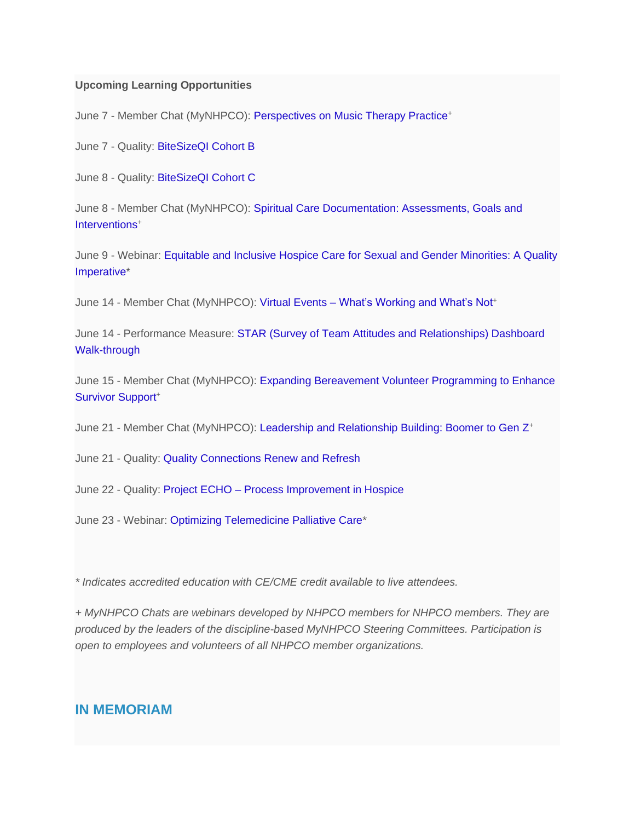#### **Upcoming Learning Opportunities**

June 7 - Member Chat (MyNHPCO): [Perspectives on Music Therapy Practice](https://nam12.safelinks.protection.outlook.com/?url=https%3A%2F%2Furldefense.com%2Fv3%2F__http%3A%2F%2Fnhpco-netforum.informz.net%2Fz%2FcjUucD9taT04NzMzOTA3JnA9MSZ1PTg5MDYwNzk5MyZsaT03NjU1NDQ3NQ%2Findex.html__%3B!!Cki1qOQyyykDL2Q!LxdrBdZtLOPz33RmKRZkwydYD83WKkwqaS3XduYRYJCeEEOmj8QzBmFBDfCJ4525lwY007GbaNhCrmH4rJU6FjmN%24&data=05%7C01%7CJulie.Stafford%40emblemhospice.com%7C55e70e5d548b4f18d03508da43fbef48%7C90c1e80c18bc48e08d4fedc68d091ce7%7C0%7C0%7C637897047686582226%7CUnknown%7CTWFpbGZsb3d8eyJWIjoiMC4wLjAwMDAiLCJQIjoiV2luMzIiLCJBTiI6Ik1haWwiLCJXVCI6Mn0%3D%7C3000%7C%7C%7C&sdata=jBtPIxjchHaf0xUMA3ZOXHSR6P5RH3rW8HZt17d2jsM%3D&reserved=0)<sup>+</sup>

June 7 - Quality: [BiteSizeQI Cohort B](https://nam12.safelinks.protection.outlook.com/?url=https%3A%2F%2Furldefense.com%2Fv3%2F__http%3A%2F%2Fnhpco-netforum.informz.net%2Fz%2FcjUucD9taT04NzMzOTA3JnA9MSZ1PTg5MDYwNzk5MyZsaT03NjU1NDQ3Nw%2Findex.html__%3B!!Cki1qOQyyykDL2Q!LxdrBdZtLOPz33RmKRZkwydYD83WKkwqaS3XduYRYJCeEEOmj8QzBmFBDfCJ4525lwY007GbaNhCrmH4rFsxNaHr%24&data=05%7C01%7CJulie.Stafford%40emblemhospice.com%7C55e70e5d548b4f18d03508da43fbef48%7C90c1e80c18bc48e08d4fedc68d091ce7%7C0%7C0%7C637897047686582226%7CUnknown%7CTWFpbGZsb3d8eyJWIjoiMC4wLjAwMDAiLCJQIjoiV2luMzIiLCJBTiI6Ik1haWwiLCJXVCI6Mn0%3D%7C3000%7C%7C%7C&sdata=Tj9w8FgUfdyfCpNT9tmsLUcmwkmitDcsd3yy%2FnXWRC4%3D&reserved=0)

June 8 - Quality: [BiteSizeQI Cohort C](https://nam12.safelinks.protection.outlook.com/?url=https%3A%2F%2Furldefense.com%2Fv3%2F__http%3A%2F%2Fnhpco-netforum.informz.net%2Fz%2FcjUucD9taT04NzMzOTA3JnA9MSZ1PTg5MDYwNzk5MyZsaT03NjU1NDQ3OQ%2Findex.html__%3B!!Cki1qOQyyykDL2Q!LxdrBdZtLOPz33RmKRZkwydYD83WKkwqaS3XduYRYJCeEEOmj8QzBmFBDfCJ4525lwY007GbaNhCrmH4rDZFRlNQ%24&data=05%7C01%7CJulie.Stafford%40emblemhospice.com%7C55e70e5d548b4f18d03508da43fbef48%7C90c1e80c18bc48e08d4fedc68d091ce7%7C0%7C0%7C637897047686582226%7CUnknown%7CTWFpbGZsb3d8eyJWIjoiMC4wLjAwMDAiLCJQIjoiV2luMzIiLCJBTiI6Ik1haWwiLCJXVCI6Mn0%3D%7C3000%7C%7C%7C&sdata=sJncMIA4JlOIEvzSEHPyx1cXLm39UW8PI5%2FPTI9CwkU%3D&reserved=0)

June 8 - Member Chat (MyNHPCO): [Spiritual Care Documentation: Assessments, Goals and](https://nam12.safelinks.protection.outlook.com/?url=https%3A%2F%2Furldefense.com%2Fv3%2F__http%3A%2F%2Fnhpco-netforum.informz.net%2Fz%2FcjUucD9taT04NzMzOTA3JnA9MSZ1PTg5MDYwNzk5MyZsaT03NjU1NDQ4MA%2Findex.html__%3B!!Cki1qOQyyykDL2Q!LxdrBdZtLOPz33RmKRZkwydYD83WKkwqaS3XduYRYJCeEEOmj8QzBmFBDfCJ4525lwY007GbaNhCrmH4rIW4ouct%24&data=05%7C01%7CJulie.Stafford%40emblemhospice.com%7C55e70e5d548b4f18d03508da43fbef48%7C90c1e80c18bc48e08d4fedc68d091ce7%7C0%7C0%7C637897047686582226%7CUnknown%7CTWFpbGZsb3d8eyJWIjoiMC4wLjAwMDAiLCJQIjoiV2luMzIiLCJBTiI6Ik1haWwiLCJXVCI6Mn0%3D%7C3000%7C%7C%7C&sdata=6IKtKTdh%2FR7pyZLBu5zaY7WtfIsdDdVLvwuHdkxzZD4%3D&reserved=0)  [Interventions](https://nam12.safelinks.protection.outlook.com/?url=https%3A%2F%2Furldefense.com%2Fv3%2F__http%3A%2F%2Fnhpco-netforum.informz.net%2Fz%2FcjUucD9taT04NzMzOTA3JnA9MSZ1PTg5MDYwNzk5MyZsaT03NjU1NDQ4MA%2Findex.html__%3B!!Cki1qOQyyykDL2Q!LxdrBdZtLOPz33RmKRZkwydYD83WKkwqaS3XduYRYJCeEEOmj8QzBmFBDfCJ4525lwY007GbaNhCrmH4rIW4ouct%24&data=05%7C01%7CJulie.Stafford%40emblemhospice.com%7C55e70e5d548b4f18d03508da43fbef48%7C90c1e80c18bc48e08d4fedc68d091ce7%7C0%7C0%7C637897047686582226%7CUnknown%7CTWFpbGZsb3d8eyJWIjoiMC4wLjAwMDAiLCJQIjoiV2luMzIiLCJBTiI6Ik1haWwiLCJXVCI6Mn0%3D%7C3000%7C%7C%7C&sdata=6IKtKTdh%2FR7pyZLBu5zaY7WtfIsdDdVLvwuHdkxzZD4%3D&reserved=0)<sup>+</sup>

June 9 - Webinar: [Equitable and Inclusive Hospice Care for Sexual and Gender Minorities: A Quality](https://nam12.safelinks.protection.outlook.com/?url=https%3A%2F%2Furldefense.com%2Fv3%2F__http%3A%2F%2Fnhpco-netforum.informz.net%2Fz%2FcjUucD9taT04NzMzOTA3JnA9MSZ1PTg5MDYwNzk5MyZsaT03NjU1NDQ4MQ%2Findex.html__%3B!!Cki1qOQyyykDL2Q!LxdrBdZtLOPz33RmKRZkwydYD83WKkwqaS3XduYRYJCeEEOmj8QzBmFBDfCJ4525lwY007GbaNhCrmH4rE0E5YuM%24&data=05%7C01%7CJulie.Stafford%40emblemhospice.com%7C55e70e5d548b4f18d03508da43fbef48%7C90c1e80c18bc48e08d4fedc68d091ce7%7C0%7C0%7C637897047686582226%7CUnknown%7CTWFpbGZsb3d8eyJWIjoiMC4wLjAwMDAiLCJQIjoiV2luMzIiLCJBTiI6Ik1haWwiLCJXVCI6Mn0%3D%7C3000%7C%7C%7C&sdata=Gfcznz%2BzsMod%2BVkzCU5U3PuRbZpspKN%2BO1Abx3TMUB8%3D&reserved=0)  [Imperative\\*](https://nam12.safelinks.protection.outlook.com/?url=https%3A%2F%2Furldefense.com%2Fv3%2F__http%3A%2F%2Fnhpco-netforum.informz.net%2Fz%2FcjUucD9taT04NzMzOTA3JnA9MSZ1PTg5MDYwNzk5MyZsaT03NjU1NDQ4MQ%2Findex.html__%3B!!Cki1qOQyyykDL2Q!LxdrBdZtLOPz33RmKRZkwydYD83WKkwqaS3XduYRYJCeEEOmj8QzBmFBDfCJ4525lwY007GbaNhCrmH4rE0E5YuM%24&data=05%7C01%7CJulie.Stafford%40emblemhospice.com%7C55e70e5d548b4f18d03508da43fbef48%7C90c1e80c18bc48e08d4fedc68d091ce7%7C0%7C0%7C637897047686582226%7CUnknown%7CTWFpbGZsb3d8eyJWIjoiMC4wLjAwMDAiLCJQIjoiV2luMzIiLCJBTiI6Ik1haWwiLCJXVCI6Mn0%3D%7C3000%7C%7C%7C&sdata=Gfcznz%2BzsMod%2BVkzCU5U3PuRbZpspKN%2BO1Abx3TMUB8%3D&reserved=0)

June 14 - Member Chat (MyNHPCO): Virtual Events - [What's Working and What's Not](https://nam12.safelinks.protection.outlook.com/?url=https%3A%2F%2Furldefense.com%2Fv3%2F__http%3A%2F%2Fnhpco-netforum.informz.net%2Fz%2FcjUucD9taT04NzMzOTA3JnA9MSZ1PTg5MDYwNzk5MyZsaT03NjU1NDQ4Mw%2Findex.html__%3B!!Cki1qOQyyykDL2Q!LxdrBdZtLOPz33RmKRZkwydYD83WKkwqaS3XduYRYJCeEEOmj8QzBmFBDfCJ4525lwY007GbaNhCrmH4rMqIHpXP%24&data=05%7C01%7CJulie.Stafford%40emblemhospice.com%7C55e70e5d548b4f18d03508da43fbef48%7C90c1e80c18bc48e08d4fedc68d091ce7%7C0%7C0%7C637897047686582226%7CUnknown%7CTWFpbGZsb3d8eyJWIjoiMC4wLjAwMDAiLCJQIjoiV2luMzIiLCJBTiI6Ik1haWwiLCJXVCI6Mn0%3D%7C3000%7C%7C%7C&sdata=%2BaZFrKZy4SWaeiSrg71NyPeK%2Fsh%2FCXHB2ugRPhM%2BVag%3D&reserved=0)+

June 14 - Performance Measure: [STAR \(Survey of Team Attitudes and Relationships\) Dashboard](https://nam12.safelinks.protection.outlook.com/?url=https%3A%2F%2Furldefense.com%2Fv3%2F__http%3A%2F%2Fnhpco-netforum.informz.net%2Fz%2FcjUucD9taT04NzMzOTA3JnA9MSZ1PTg5MDYwNzk5MyZsaT03NjU1NDQ4NQ%2Findex.html__%3B!!Cki1qOQyyykDL2Q!LxdrBdZtLOPz33RmKRZkwydYD83WKkwqaS3XduYRYJCeEEOmj8QzBmFBDfCJ4525lwY007GbaNhCrmH4rNA9LaW9%24&data=05%7C01%7CJulie.Stafford%40emblemhospice.com%7C55e70e5d548b4f18d03508da43fbef48%7C90c1e80c18bc48e08d4fedc68d091ce7%7C0%7C0%7C637897047686582226%7CUnknown%7CTWFpbGZsb3d8eyJWIjoiMC4wLjAwMDAiLCJQIjoiV2luMzIiLCJBTiI6Ik1haWwiLCJXVCI6Mn0%3D%7C3000%7C%7C%7C&sdata=947gOrEY86g%2BkIKtQRzg8fgJq%2FR%2FX%2BZPBuwCMlP7SiU%3D&reserved=0)  [Walk-through](https://nam12.safelinks.protection.outlook.com/?url=https%3A%2F%2Furldefense.com%2Fv3%2F__http%3A%2F%2Fnhpco-netforum.informz.net%2Fz%2FcjUucD9taT04NzMzOTA3JnA9MSZ1PTg5MDYwNzk5MyZsaT03NjU1NDQ4NQ%2Findex.html__%3B!!Cki1qOQyyykDL2Q!LxdrBdZtLOPz33RmKRZkwydYD83WKkwqaS3XduYRYJCeEEOmj8QzBmFBDfCJ4525lwY007GbaNhCrmH4rNA9LaW9%24&data=05%7C01%7CJulie.Stafford%40emblemhospice.com%7C55e70e5d548b4f18d03508da43fbef48%7C90c1e80c18bc48e08d4fedc68d091ce7%7C0%7C0%7C637897047686582226%7CUnknown%7CTWFpbGZsb3d8eyJWIjoiMC4wLjAwMDAiLCJQIjoiV2luMzIiLCJBTiI6Ik1haWwiLCJXVCI6Mn0%3D%7C3000%7C%7C%7C&sdata=947gOrEY86g%2BkIKtQRzg8fgJq%2FR%2FX%2BZPBuwCMlP7SiU%3D&reserved=0)

June 15 - Member Chat (MyNHPCO): [Expanding Bereavement Volunteer Programming to Enhance](https://nam12.safelinks.protection.outlook.com/?url=https%3A%2F%2Furldefense.com%2Fv3%2F__http%3A%2F%2Fnhpco-netforum.informz.net%2Fz%2FcjUucD9taT04NzMzOTA3JnA9MSZ1PTg5MDYwNzk5MyZsaT03NjU1NDQ4Nw%2Findex.html__%3B!!Cki1qOQyyykDL2Q!LxdrBdZtLOPz33RmKRZkwydYD83WKkwqaS3XduYRYJCeEEOmj8QzBmFBDfCJ4525lwY007GbaNhCrmH4rOH0Okf4%24&data=05%7C01%7CJulie.Stafford%40emblemhospice.com%7C55e70e5d548b4f18d03508da43fbef48%7C90c1e80c18bc48e08d4fedc68d091ce7%7C0%7C0%7C637897047686582226%7CUnknown%7CTWFpbGZsb3d8eyJWIjoiMC4wLjAwMDAiLCJQIjoiV2luMzIiLCJBTiI6Ik1haWwiLCJXVCI6Mn0%3D%7C3000%7C%7C%7C&sdata=LCS7v32ZDwziK%2FT2dDkSWAzhIjuoQcZx3yErG%2B0W%2FnE%3D&reserved=0)  [Survivor Support](https://nam12.safelinks.protection.outlook.com/?url=https%3A%2F%2Furldefense.com%2Fv3%2F__http%3A%2F%2Fnhpco-netforum.informz.net%2Fz%2FcjUucD9taT04NzMzOTA3JnA9MSZ1PTg5MDYwNzk5MyZsaT03NjU1NDQ4Nw%2Findex.html__%3B!!Cki1qOQyyykDL2Q!LxdrBdZtLOPz33RmKRZkwydYD83WKkwqaS3XduYRYJCeEEOmj8QzBmFBDfCJ4525lwY007GbaNhCrmH4rOH0Okf4%24&data=05%7C01%7CJulie.Stafford%40emblemhospice.com%7C55e70e5d548b4f18d03508da43fbef48%7C90c1e80c18bc48e08d4fedc68d091ce7%7C0%7C0%7C637897047686582226%7CUnknown%7CTWFpbGZsb3d8eyJWIjoiMC4wLjAwMDAiLCJQIjoiV2luMzIiLCJBTiI6Ik1haWwiLCJXVCI6Mn0%3D%7C3000%7C%7C%7C&sdata=LCS7v32ZDwziK%2FT2dDkSWAzhIjuoQcZx3yErG%2B0W%2FnE%3D&reserved=0)<sup>+</sup>

June 21 - Member Chat (MyNHPCO): [Leadership and Relationship Building: Boomer to Gen Z](https://nam12.safelinks.protection.outlook.com/?url=https%3A%2F%2Furldefense.com%2Fv3%2F__http%3A%2F%2Fnhpco-netforum.informz.net%2Fz%2FcjUucD9taT04NzMzOTA3JnA9MSZ1PTg5MDYwNzk5MyZsaT03NjU1NDQ4OQ%2Findex.html__%3B!!Cki1qOQyyykDL2Q!LxdrBdZtLOPz33RmKRZkwydYD83WKkwqaS3XduYRYJCeEEOmj8QzBmFBDfCJ4525lwY007GbaNhCrmH4rBBLzl4-%24&data=05%7C01%7CJulie.Stafford%40emblemhospice.com%7C55e70e5d548b4f18d03508da43fbef48%7C90c1e80c18bc48e08d4fedc68d091ce7%7C0%7C0%7C637897047686582226%7CUnknown%7CTWFpbGZsb3d8eyJWIjoiMC4wLjAwMDAiLCJQIjoiV2luMzIiLCJBTiI6Ik1haWwiLCJXVCI6Mn0%3D%7C3000%7C%7C%7C&sdata=shhS7fBKkKwJzIRgvLGNO2F2YC1oSTdhvO7teCAj3cI%3D&reserved=0)<sup>+</sup>

June 21 - Quality: [Quality Connections Renew and Refresh](https://nam12.safelinks.protection.outlook.com/?url=https%3A%2F%2Furldefense.com%2Fv3%2F__http%3A%2F%2Fnhpco-netforum.informz.net%2Fz%2FcjUucD9taT04NzMzOTA3JnA9MSZ1PTg5MDYwNzk5MyZsaT03NjU1NDQ5MQ%2Findex.html__%3B!!Cki1qOQyyykDL2Q!LxdrBdZtLOPz33RmKRZkwydYD83WKkwqaS3XduYRYJCeEEOmj8QzBmFBDfCJ4525lwY007GbaNhCrmH4rHzcP8QC%24&data=05%7C01%7CJulie.Stafford%40emblemhospice.com%7C55e70e5d548b4f18d03508da43fbef48%7C90c1e80c18bc48e08d4fedc68d091ce7%7C0%7C0%7C637897047686582226%7CUnknown%7CTWFpbGZsb3d8eyJWIjoiMC4wLjAwMDAiLCJQIjoiV2luMzIiLCJBTiI6Ik1haWwiLCJXVCI6Mn0%3D%7C3000%7C%7C%7C&sdata=Ha%2FTari5CKBHXPE4EUB%2BHS82YGQyaaVWxnAVpIwpR8E%3D&reserved=0)

June 22 - Quality: Project ECHO – [Process Improvement in Hospice](https://nam12.safelinks.protection.outlook.com/?url=https%3A%2F%2Furldefense.com%2Fv3%2F__http%3A%2F%2Fnhpco-netforum.informz.net%2Fz%2FcjUucD9taT04NzMzOTA3JnA9MSZ1PTg5MDYwNzk5MyZsaT03NjU1NDQ5Mg%2Findex.html__%3B!!Cki1qOQyyykDL2Q!LxdrBdZtLOPz33RmKRZkwydYD83WKkwqaS3XduYRYJCeEEOmj8QzBmFBDfCJ4525lwY007GbaNhCrmH4rBqKXmAS%24&data=05%7C01%7CJulie.Stafford%40emblemhospice.com%7C55e70e5d548b4f18d03508da43fbef48%7C90c1e80c18bc48e08d4fedc68d091ce7%7C0%7C0%7C637897047686582226%7CUnknown%7CTWFpbGZsb3d8eyJWIjoiMC4wLjAwMDAiLCJQIjoiV2luMzIiLCJBTiI6Ik1haWwiLCJXVCI6Mn0%3D%7C3000%7C%7C%7C&sdata=m%2FuhpTnYtl8I1lW3P265CnTisbOTeOUmJY92ggVkwpI%3D&reserved=0)

June 23 - Webinar: [Optimizing Telemedicine Palliative Care\\*](https://nam12.safelinks.protection.outlook.com/?url=https%3A%2F%2Furldefense.com%2Fv3%2F__http%3A%2F%2Fnhpco-netforum.informz.net%2Fz%2FcjUucD9taT04NzMzOTA3JnA9MSZ1PTg5MDYwNzk5MyZsaT03NjU1NDQ5NQ%2Findex.html__%3B!!Cki1qOQyyykDL2Q!LxdrBdZtLOPz33RmKRZkwydYD83WKkwqaS3XduYRYJCeEEOmj8QzBmFBDfCJ4525lwY007GbaNhCrmH4rBbQS7eN%24&data=05%7C01%7CJulie.Stafford%40emblemhospice.com%7C55e70e5d548b4f18d03508da43fbef48%7C90c1e80c18bc48e08d4fedc68d091ce7%7C0%7C0%7C637897047686582226%7CUnknown%7CTWFpbGZsb3d8eyJWIjoiMC4wLjAwMDAiLCJQIjoiV2luMzIiLCJBTiI6Ik1haWwiLCJXVCI6Mn0%3D%7C3000%7C%7C%7C&sdata=AuwQpvkqLxKvsT%2BR3rm%2F2wxHgiD8A5ihwNzRtEcy3ak%3D&reserved=0)

*\* Indicates accredited education with CE/CME credit available to live attendees.*

*+ MyNHPCO Chats are webinars developed by NHPCO members for NHPCO members. They are produced by the leaders of the discipline-based MyNHPCO Steering Committees. Participation is open to employees and volunteers of all NHPCO member organizations.*

### **IN MEMORIAM**